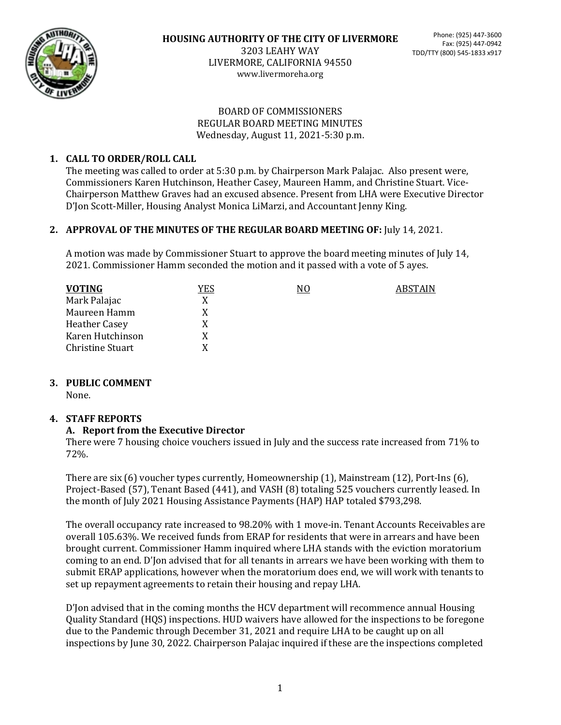

3203 LEAHY WAY LIVERMORE, CALIFORNIA 94550 www.livermoreha.org

#### BOARD OF COMMISSIONERS REGULAR BOARD MEETING MINUTES Wednesday, August 11, 2021-5:30 p.m.

### **1. CALL TO ORDER/ROLL CALL**

The meeting was called to order at 5:30 p.m. by Chairperson Mark Palajac. Also present were, Commissioners Karen Hutchinson, Heather Casey, Maureen Hamm, and Christine Stuart. Vice-Chairperson Matthew Graves had an excused absence. Present from LHA were Executive Director D'Jon Scott-Miller, Housing Analyst Monica LiMarzi, and Accountant Jenny King.

#### **2. APPROVAL OF THE MINUTES OF THE REGULAR BOARD MEETING OF:** July 14, 2021.

A motion was made by Commissioner Stuart to approve the board meeting minutes of July 14, 2021. Commissioner Hamm seconded the motion and it passed with a vote of 5 ayes.

| <b>VOTING</b>    | YES | N0 | ABSTAIN |
|------------------|-----|----|---------|
| Mark Palajac     | X   |    |         |
| Maureen Hamm     | X   |    |         |
| Heather Casey    | X   |    |         |
| Karen Hutchinson | X   |    |         |
| Christine Stuart | Y   |    |         |

#### **3. PUBLIC COMMENT**

None.

#### **4. STAFF REPORTS**

#### **A. Report from the Executive Director**

There were 7 housing choice vouchers issued in July and the success rate increased from 71% to 72%.

There are six (6) voucher types currently, Homeownership (1), Mainstream (12), Port-Ins (6), Project-Based (57), Tenant Based (441), and VASH (8) totaling 525 vouchers currently leased. In the month of July 2021 Housing Assistance Payments (HAP) HAP totaled \$793,298.

The overall occupancy rate increased to 98.20% with 1 move-in. Tenant Accounts Receivables are overall 105.63%. We received funds from ERAP for residents that were in arrears and have been brought current. Commissioner Hamm inquired where LHA stands with the eviction moratorium coming to an end. D'Jon advised that for all tenants in arrears we have been working with them to submit ERAP applications, however when the moratorium does end, we will work with tenants to set up repayment agreements to retain their housing and repay LHA.

D'Jon advised that in the coming months the HCV department will recommence annual Housing Quality Standard (HQS) inspections. HUD waivers have allowed for the inspections to be foregone due to the Pandemic through December 31, 2021 and require LHA to be caught up on all inspections by June 30, 2022. Chairperson Palajac inquired if these are the inspections completed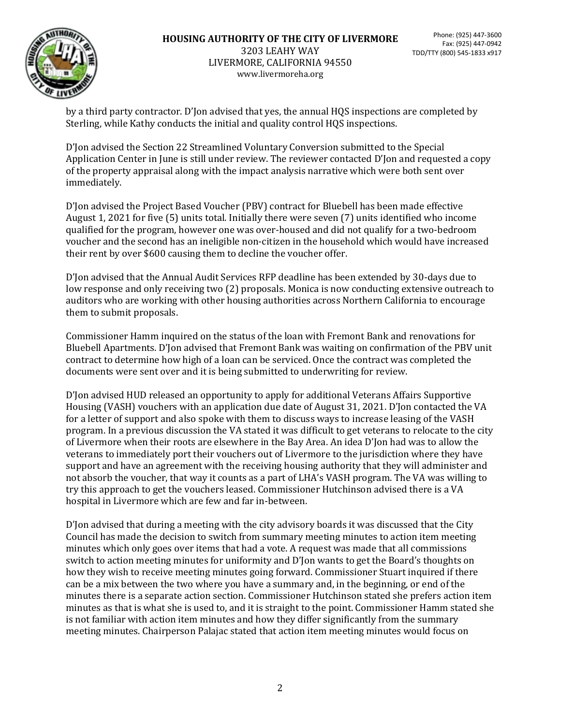

#### **HOUSING AUTHORITY OF THE CITY OF LIVERMORE** 3203 LEAHY WAY LIVERMORE, CALIFORNIA 94550 www.livermoreha.org

by a third party contractor. D'Jon advised that yes, the annual HQS inspections are completed by Sterling, while Kathy conducts the initial and quality control HQS inspections.

D'Jon advised the Section 22 Streamlined Voluntary Conversion submitted to the Special Application Center in June is still under review. The reviewer contacted D'Jon and requested a copy of the property appraisal along with the impact analysis narrative which were both sent over immediately.

D'Jon advised the Project Based Voucher (PBV) contract for Bluebell has been made effective August 1, 2021 for five (5) units total. Initially there were seven (7) units identified who income qualified for the program, however one was over-housed and did not qualify for a two-bedroom voucher and the second has an ineligible non-citizen in the household which would have increased their rent by over \$600 causing them to decline the voucher offer.

D'Jon advised that the Annual Audit Services RFP deadline has been extended by 30-days due to low response and only receiving two (2) proposals. Monica is now conducting extensive outreach to auditors who are working with other housing authorities across Northern California to encourage them to submit proposals.

Commissioner Hamm inquired on the status of the loan with Fremont Bank and renovations for Bluebell Apartments. D'Jon advised that Fremont Bank was waiting on confirmation of the PBV unit contract to determine how high of a loan can be serviced. Once the contract was completed the documents were sent over and it is being submitted to underwriting for review.

D'Jon advised HUD released an opportunity to apply for additional Veterans Affairs Supportive Housing (VASH) vouchers with an application due date of August 31, 2021. D'Jon contacted the VA for a letter of support and also spoke with them to discuss ways to increase leasing of the VASH program. In a previous discussion the VA stated it was difficult to get veterans to relocate to the city of Livermore when their roots are elsewhere in the Bay Area. An idea D'Jon had was to allow the veterans to immediately port their vouchers out of Livermore to the jurisdiction where they have support and have an agreement with the receiving housing authority that they will administer and not absorb the voucher, that way it counts as a part of LHA's VASH program. The VA was willing to try this approach to get the vouchers leased. Commissioner Hutchinson advised there is a VA hospital in Livermore which are few and far in-between.

D'Jon advised that during a meeting with the city advisory boards it was discussed that the City Council has made the decision to switch from summary meeting minutes to action item meeting minutes which only goes over items that had a vote. A request was made that all commissions switch to action meeting minutes for uniformity and D'Jon wants to get the Board's thoughts on how they wish to receive meeting minutes going forward. Commissioner Stuart inquired if there can be a mix between the two where you have a summary and, in the beginning, or end of the minutes there is a separate action section. Commissioner Hutchinson stated she prefers action item minutes as that is what she is used to, and it is straight to the point. Commissioner Hamm stated she is not familiar with action item minutes and how they differ significantly from the summary meeting minutes. Chairperson Palajac stated that action item meeting minutes would focus on